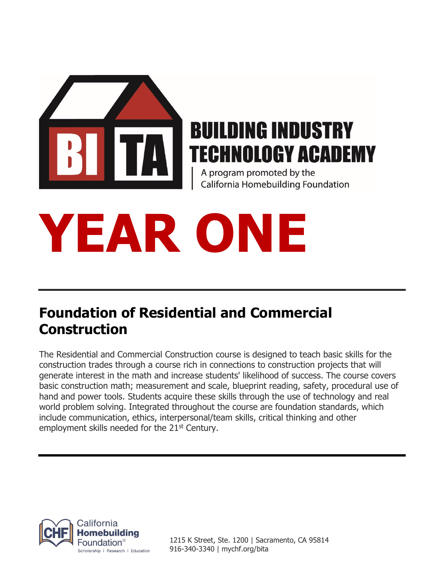

## **BUILDING INDUSTRY TECHNOLOGY ACADEMY**

A program promoted by the California Homebuilding Foundation

# **YEAR ONE**

### **Foundation of Residential and Commercial Construction**

The Residential and Commercial Construction course is designed to teach basic skills for the construction trades through a course rich in connections to construction projects that will generate interest in the math and increase students' likelihood of success. The course covers basic construction math; measurement and scale, blueprint reading, safety, procedural use of hand and power tools. Students acquire these skills through the use of technology and real world problem solving. Integrated throughout the course are foundation standards, which include communication, ethics, interpersonal/team skills, critical thinking and other employment skills needed for the 21<sup>st</sup> Century.



1215 K Street, Ste. 1200 | Sacramento, CA 95814 916-340-3340 | mychf.org/bita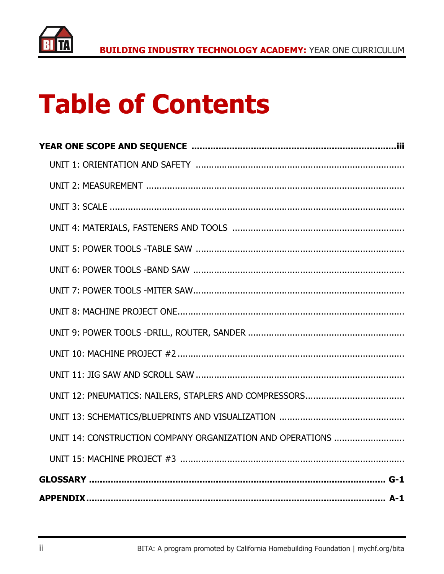

## **Table of Contents**

| UNIT 14: CONSTRUCTION COMPANY ORGANIZATION AND OPERATIONS |
|-----------------------------------------------------------|
|                                                           |
|                                                           |
| <b>APPENDIX.</b><br>. <b>A-1</b>                          |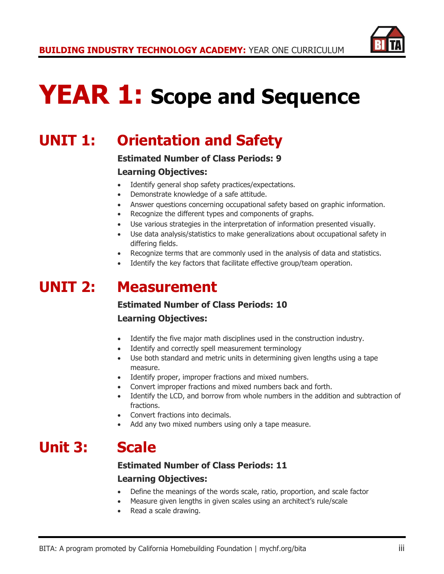

## **YEAR 1: Scope and Sequence**

## **UNIT 1: Orientation and Safety**

#### **Estimated Number of Class Periods: 9**

#### **Learning Objectives:**

- Identify general shop safety practices/expectations.
- Demonstrate knowledge of a safe attitude.
- Answer questions concerning occupational safety based on graphic information.
- Recognize the different types and components of graphs.
- Use various strategies in the interpretation of information presented visually.
- Use data analysis/statistics to make generalizations about occupational safety in differing fields.
- Recognize terms that are commonly used in the analysis of data and statistics.
- Identify the key factors that facilitate effective group/team operation.

## **UNIT 2: Measurement**

#### **Estimated Number of Class Periods: 10**

#### **Learning Objectives:**

- Identify the five major math disciplines used in the construction industry.
- Identify and correctly spell measurement terminology
- Use both standard and metric units in determining given lengths using a tape measure.
- Identify proper, improper fractions and mixed numbers.
- Convert improper fractions and mixed numbers back and forth.
- Identify the LCD, and borrow from whole numbers in the addition and subtraction of fractions.
- Convert fractions into decimals.
- Add any two mixed numbers using only a tape measure.

## **Unit 3: Scale**

#### **Estimated Number of Class Periods: 11**

- Define the meanings of the words scale, ratio, proportion, and scale factor
- Measure given lengths in given scales using an architect's rule/scale
- Read a scale drawing.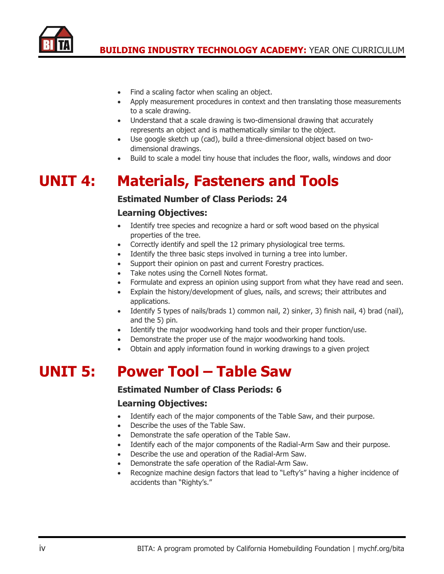

- Find a scaling factor when scaling an object.
- Apply measurement procedures in context and then translating those measurements to a scale drawing.
- Understand that a scale drawing is two-dimensional drawing that accurately represents an object and is mathematically similar to the object.
- Use google sketch up (cad), build a three-dimensional object based on twodimensional drawings.
- Build to scale a model tiny house that includes the floor, walls, windows and door

## **UNIT 4: Materials, Fasteners and Tools**

#### **Estimated Number of Class Periods: 24**

#### **Learning Objectives:**

- Identify tree species and recognize a hard or soft wood based on the physical properties of the tree.
- Correctly identify and spell the 12 primary physiological tree terms.
- Identify the three basic steps involved in turning a tree into lumber.
- Support their opinion on past and current Forestry practices.
- Take notes using the Cornell Notes format.
- Formulate and express an opinion using support from what they have read and seen.
- Explain the history/development of glues, nails, and screws; their attributes and applications.
- Identify 5 types of nails/brads 1) common nail, 2) sinker, 3) finish nail, 4) brad (nail), and the 5) pin.
- Identify the major woodworking hand tools and their proper function/use.
- Demonstrate the proper use of the major woodworking hand tools.
- Obtain and apply information found in working drawings to a given project

## **UNIT 5: Power Tool – Table Saw**

#### **Estimated Number of Class Periods: 6**

- Identify each of the major components of the Table Saw, and their purpose.
- Describe the uses of the Table Saw.
- Demonstrate the safe operation of the Table Saw.
- Identify each of the major components of the Radial-Arm Saw and their purpose.
- Describe the use and operation of the Radial-Arm Saw.
- Demonstrate the safe operation of the Radial-Arm Saw.
- Recognize machine design factors that lead to "Lefty's" having a higher incidence of accidents than "Righty's."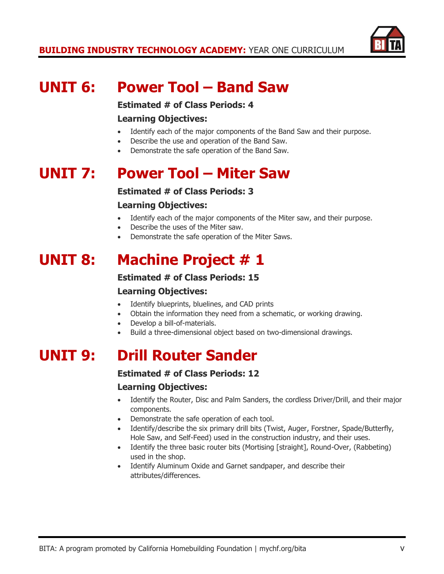

## **UNIT 6: Power Tool – Band Saw**

**Estimated # of Class Periods: 4**

#### **Learning Objectives:**

- Identify each of the major components of the Band Saw and their purpose.
- Describe the use and operation of the Band Saw.
- Demonstrate the safe operation of the Band Saw.

## **UNIT 7: Power Tool – Miter Saw**

#### **Estimated # of Class Periods: 3**

#### **Learning Objectives:**

- Identify each of the major components of the Miter saw, and their purpose.
- Describe the uses of the Miter saw.
- Demonstrate the safe operation of the Miter Saws.

## **UNIT 8: Machine Project # 1**

#### **Estimated # of Class Periods: 15**

#### **Learning Objectives:**

- Identify blueprints, bluelines, and CAD prints
- Obtain the information they need from a schematic, or working drawing.
- Develop a bill-of-materials.
- Build a three-dimensional object based on two-dimensional drawings.

## **UNIT 9: Drill Router Sander**

#### **Estimated # of Class Periods: 12**

- Identify the Router, Disc and Palm Sanders, the cordless Driver/Drill, and their major components.
- Demonstrate the safe operation of each tool.
- Identify/describe the six primary drill bits (Twist, Auger, Forstner, Spade/Butterfly, Hole Saw, and Self-Feed) used in the construction industry, and their uses.
- Identify the three basic router bits (Mortising [straight], Round-Over, (Rabbeting) used in the shop.
- Identify Aluminum Oxide and Garnet sandpaper, and describe their attributes/differences.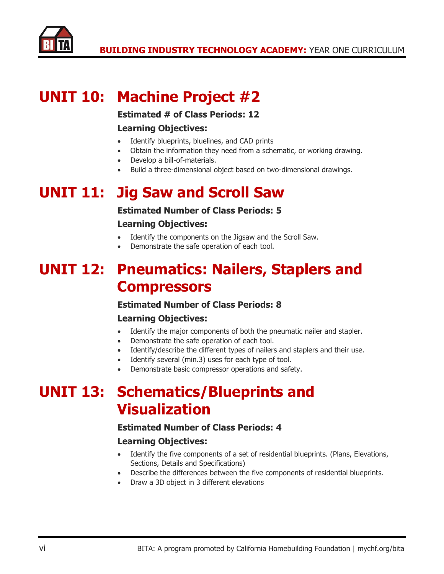

## **UNIT 10: Machine Project #2**

#### **Estimated # of Class Periods: 12**

#### **Learning Objectives:**

- Identify blueprints, bluelines, and CAD prints
- Obtain the information they need from a schematic, or working drawing.
- Develop a bill-of-materials.
- Build a three-dimensional object based on two-dimensional drawings.

## **UNIT 11: Jig Saw and Scroll Saw**

#### **Estimated Number of Class Periods: 5**

#### **Learning Objectives:**

- Identify the components on the Jigsaw and the Scroll Saw.
- Demonstrate the safe operation of each tool.

## **UNIT 12: Pneumatics: Nailers, Staplers and Compressors**

#### **Estimated Number of Class Periods: 8**

#### **Learning Objectives:**

- Identify the major components of both the pneumatic nailer and stapler.
- Demonstrate the safe operation of each tool.
- Identify/describe the different types of nailers and staplers and their use.
- Identify several (min.3) uses for each type of tool.
- Demonstrate basic compressor operations and safety.

## **UNIT 13: Schematics/Blueprints and Visualization**

#### **Estimated Number of Class Periods: 4**

- Identify the five components of a set of residential blueprints. (Plans, Elevations, Sections, Details and Specifications)
- Describe the differences between the five components of residential blueprints.
- Draw a 3D object in 3 different elevations